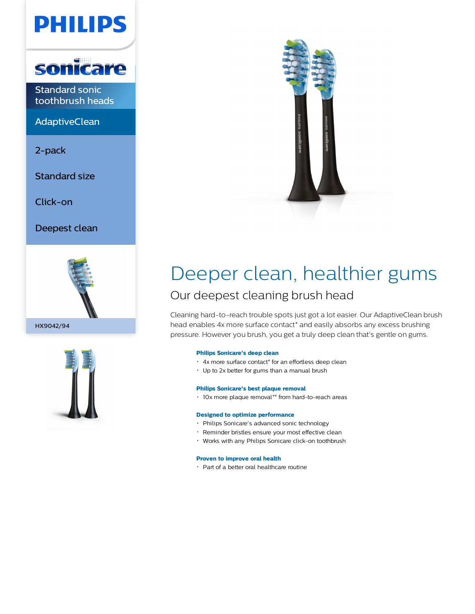



Standard sonic toothbrush heads

**AdaptiveClean** 

2-pack

Standard size

Click-on

Deepest clean







# Deeper clean, healthier gums

### Our deepest cleaning brush head

Cleaning hard-to-reach trouble spots just got a lot easier. Our AdaptiveClean brush head enables 4x more surface contact\* and easily absorbs any excess brushing pressure. However you brush, you get a truly deep clean that's gentle on gums.

#### **Philips Sonicare's deep clean**

- 4x more surface contact\* for an effortless deep clean
- Up to 2x better for gums than a manual brush

#### **Philips Sonicare's best plaque removal**

10x more plaque removal\*\* from hard-to-reach areas

#### **Designed to optimize performance**

- Philips Sonicare's advanced sonic technology
- Reminder bristles ensure your most effective clean
- Works with any Philips Sonicare click-on toothbrush

#### **Proven to improve oral health**

Part of a better oral healthcare routine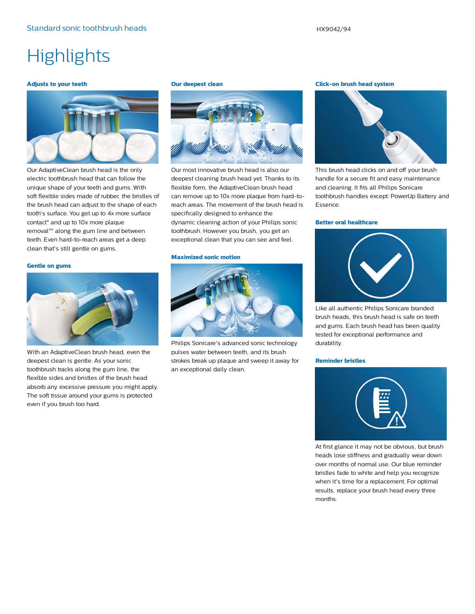## **Highlights**

#### **Adjusts to your teeth**



Our AdaptiveClean brush head is the only electric toothbrush head that can follow the unique shape of your teeth and gums. With soft flexible sides made of rubber, the bristles of the brush head can adjust to the shape of each tooth's surface. You get up to 4x more surface contact\* and up to 10x more plaque removal\*\* along the gum line and between teeth. Even hard-to-reach areas get a deep clean that's still gentle on gums.

#### **Gentle on gums**



With an AdaptiveClean brush head, even the deepest clean is gentle. As your sonic toothbrush tracks along the gum line, the flexible sides and bristles of the brush head absorb any excessive pressure you might apply. The soft tissue around your gums is protected even if you brush too hard.

#### **Our deepest clean**



Our most innovative brush head is also our deepest cleaning brush head yet. Thanks to its flexible form, the AdaptiveClean brush head can remove up to 10x more plaque from hard-toreach areas. The movement of the brush head is specifically designed to enhance the dynamic cleaning action of your Philips sonic toothbrush. However you brush, you get an exceptional clean that you can see and feel.

#### **Maximized sonic motion**



Philips Sonicare's advanced sonic technology pulses water between teeth, and its brush strokes break up plaque and sweep it away for an exceptional daily clean.

#### **Click-on brush head system**



This brush head clicks on and off your brush handle for a secure fit and easy maintenance and cleaning. It fits all Philips Sonicare toothbrush handles except: PowerUp Battery and Essence.

#### **Better oral healthcare**



Like all authentic Philips Sonicare branded brush heads, this brush head is safe on teeth and gums. Each brush head has been quality tested for exceptional performance and durability.

#### **Reminder bristles**



At first glance it may not be obvious, but brush heads lose stiffness and gradually wear down over months of normal use. Our blue reminder bristles fade to white and help you recognize when it's time for a replacement. For optimal results, replace your brush head every three months.